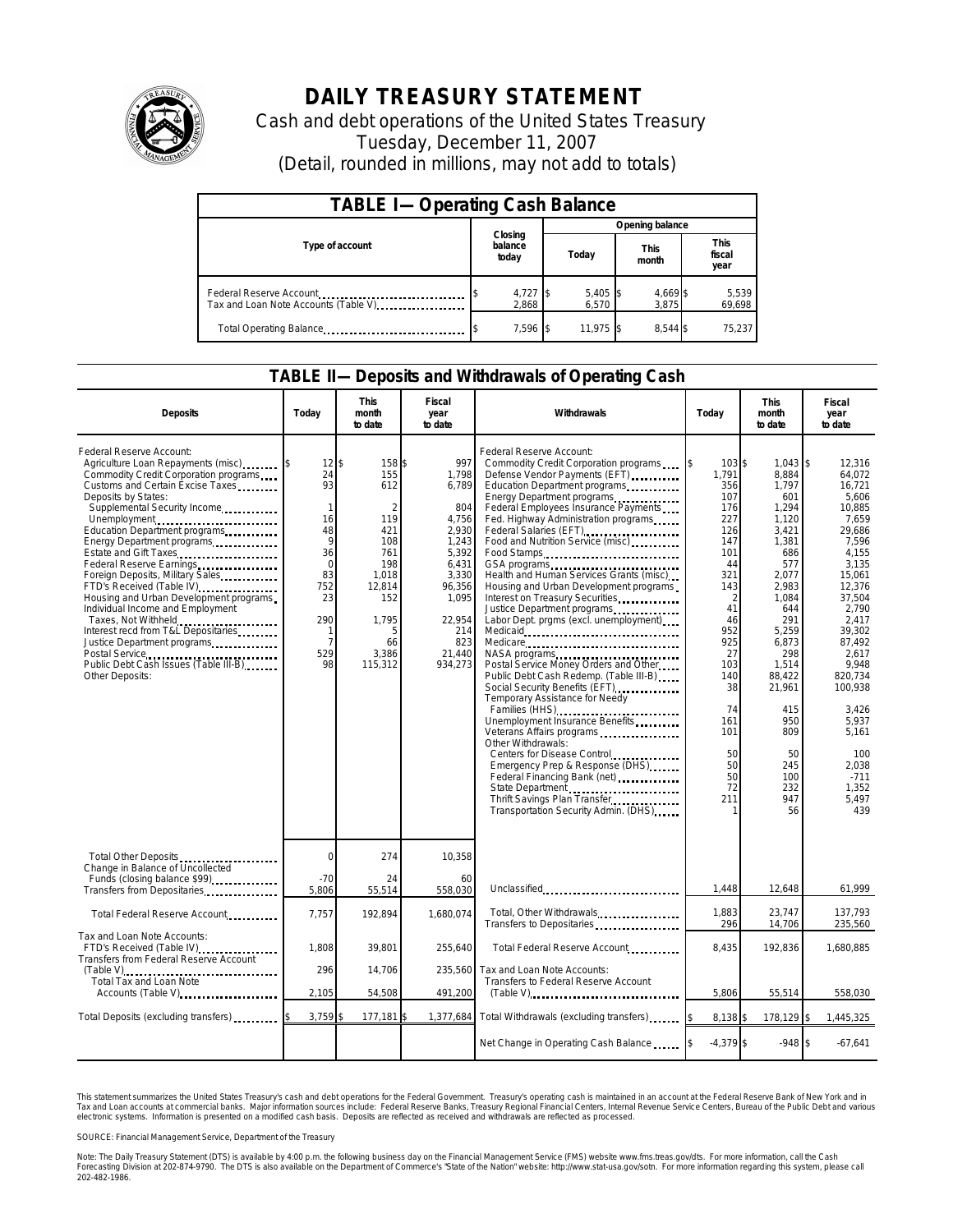

## **DAILY TREASURY STATEMENT**

Cash and debt operations of the United States Treasury Tuesday, December 11, 2007 (Detail, rounded in millions, may not add to totals)

| <b>TABLE I-Operating Cash Balance</b>                           |  |                             |  |                     |  |                      |  |                               |  |
|-----------------------------------------------------------------|--|-----------------------------|--|---------------------|--|----------------------|--|-------------------------------|--|
| Type of account                                                 |  | Closing<br>balance<br>today |  | Opening balance     |  |                      |  |                               |  |
|                                                                 |  |                             |  | Today               |  | <b>This</b><br>month |  | <b>This</b><br>fiscal<br>year |  |
| Federal Reserve Account<br>Tax and Loan Note Accounts (Table V) |  | $4,727$ \$<br>2.868         |  | $5,405$ \$<br>6.570 |  | 4,669 \$<br>3.875    |  | 5,539<br>69,698               |  |
| Total Operating Balance                                         |  | 7,596 \$                    |  | 11.975 \$           |  | 8.544 \$             |  | 75,237                        |  |

## **TABLE II—Deposits and Withdrawals of Operating Cash**

| <b>Deposits</b>                                                                                                                                                                                                                                                                                                                                                                                                                                                                                                                                                                                                                      | Todav                                                                                                                              | <b>This</b><br>month<br>to date                                                                                          | Fiscal<br>year<br>to date                                                                                                                          | Withdrawals                                                                                                                                                                                                                                                                                                                                                                                                                                                                                                                                                                                                                                                                                                                                                                                                                                                                                                                                                                   | Today                                                                                                                                                                                                   | <b>This</b><br>month<br>to date                                                                                                                                                                                                              | Fiscal<br>year<br>to date                                                                                                                                                                                                                                                                   |
|--------------------------------------------------------------------------------------------------------------------------------------------------------------------------------------------------------------------------------------------------------------------------------------------------------------------------------------------------------------------------------------------------------------------------------------------------------------------------------------------------------------------------------------------------------------------------------------------------------------------------------------|------------------------------------------------------------------------------------------------------------------------------------|--------------------------------------------------------------------------------------------------------------------------|----------------------------------------------------------------------------------------------------------------------------------------------------|-------------------------------------------------------------------------------------------------------------------------------------------------------------------------------------------------------------------------------------------------------------------------------------------------------------------------------------------------------------------------------------------------------------------------------------------------------------------------------------------------------------------------------------------------------------------------------------------------------------------------------------------------------------------------------------------------------------------------------------------------------------------------------------------------------------------------------------------------------------------------------------------------------------------------------------------------------------------------------|---------------------------------------------------------------------------------------------------------------------------------------------------------------------------------------------------------|----------------------------------------------------------------------------------------------------------------------------------------------------------------------------------------------------------------------------------------------|---------------------------------------------------------------------------------------------------------------------------------------------------------------------------------------------------------------------------------------------------------------------------------------------|
| Federal Reserve Account:<br>Agriculture Loan Repayments (misc)<br>Commodity Credit Corporation programs<br>Customs and Certain Excise Taxes<br>Deposits by States:<br>Supplemental Security Income<br>Unemployment<br>Education Department programs<br>Energy Department programs<br>Estate and Gift Taxes<br>Foreign Deposits, Military Sales<br>FTD's Received (Table IV)<br>Housing and Urban Development programs<br>Individual Income and Employment<br>Taxes, Not Withheld<br>Interest recd from T&L Depositaries<br>Justice Department programs<br>Postal Service<br>Public Debt Cash Issues (Table III-B)<br>Other Deposits: | 12<br>24<br>93<br>$\mathbf{1}$<br>16<br>48<br>9<br>36<br>$\mathbf 0$<br>83<br>752<br>23<br>290<br>1<br>$\overline{7}$<br>529<br>98 | 158\$<br>155<br>612<br>119<br>421<br>108<br>761<br>198<br>1,018<br>12,814<br>152<br>1,795<br>5<br>66<br>3,386<br>115,312 | 997<br>1.798<br>6,789<br>804<br>4,756<br>2,930<br>1,243<br>5,392<br>6,431<br>3,330<br>96,356<br>1,095<br>22,954<br>214<br>823<br>21.440<br>934,273 | Federal Reserve Account:<br>Commodity Credit Corporation programs<br>Defense Vendor Payments (EFT)<br>Education Department programs<br>Energy Department programs<br>Federal Employees Insurance Payments<br>Fed. Highway Administration programs<br>Federal Salaries (EFT)<br>Food and Nutrition Service (misc)<br>Food Stamps<br>Health and Human Services Grants (misc)<br>Housing and Urban Development programs<br>Interest on Treasury Securities<br>Justice Department programs<br>Labor Dept. prgms (excl. unemployment)<br>Medicare<br>Postal Service Money Orders and Other<br>Public Debt Cash Redemp. (Table III-B)<br>Social Security Benefits (EFT)<br>Temporary Assistance for Needy<br>Families (HHS)<br>Unemployment Insurance Benefits<br>Veterans Affairs programs<br>Other Withdrawals:<br>Centers for Disease Control<br>Emergency Prep & Response (DHS)<br>State Department<br>Thrift Savings Plan Transfer<br><br>Transportation Security Admin. (DHS) | 103 \$<br>l\$<br>1.791<br>356<br>107<br>176<br>227<br>126<br>147<br>101<br>44<br>321<br>143<br>2<br>41<br>46<br>952<br>925<br>27<br>103<br>140<br>38<br>74<br>161<br>101<br>50<br>50<br>50<br>72<br>211 | 1,043<br>8,884<br>1,797<br>601<br>1,294<br>1,120<br>3,421<br>1,381<br>686<br>577<br>2,077<br>2,983<br>1,084<br>644<br>291<br>5,259<br>6,873<br>298<br>1,514<br>88,422<br>21,961<br>415<br>950<br>809<br>50<br>245<br>100<br>232<br>947<br>56 | \$<br>12,316<br>64.072<br>16,721<br>5.606<br>10,885<br>7,659<br>29,686<br>7.596<br>4.155<br>3,135<br>15,061<br>12,376<br>37,504<br>2.790<br>2,417<br>39,302<br>87,492<br>2,617<br>9,948<br>820,734<br>100,938<br>3,426<br>5,937<br>5,161<br>100<br>2,038<br>$-711$<br>1,352<br>5,497<br>439 |
| Total Other Deposits<br>Change in Balance of Uncollected                                                                                                                                                                                                                                                                                                                                                                                                                                                                                                                                                                             | $\overline{0}$                                                                                                                     | 274                                                                                                                      | 10,358                                                                                                                                             |                                                                                                                                                                                                                                                                                                                                                                                                                                                                                                                                                                                                                                                                                                                                                                                                                                                                                                                                                                               |                                                                                                                                                                                                         |                                                                                                                                                                                                                                              |                                                                                                                                                                                                                                                                                             |
| Funds (closing balance \$99)<br>Transfers from Depositaries                                                                                                                                                                                                                                                                                                                                                                                                                                                                                                                                                                          | $-70$<br>5.806                                                                                                                     | 24<br>55,514                                                                                                             | 60<br>558,030                                                                                                                                      | Unclassified                                                                                                                                                                                                                                                                                                                                                                                                                                                                                                                                                                                                                                                                                                                                                                                                                                                                                                                                                                  | 1,448                                                                                                                                                                                                   | 12,648                                                                                                                                                                                                                                       | 61,999                                                                                                                                                                                                                                                                                      |
| Total Federal Reserve Account                                                                                                                                                                                                                                                                                                                                                                                                                                                                                                                                                                                                        | 7,757                                                                                                                              | 192,894                                                                                                                  | 1,680,074                                                                                                                                          | Total, Other Withdrawals<br>Transfers to Depositaries                                                                                                                                                                                                                                                                                                                                                                                                                                                                                                                                                                                                                                                                                                                                                                                                                                                                                                                         | 1,883<br>296                                                                                                                                                                                            | 23,747<br>14,706                                                                                                                                                                                                                             | 137,793<br>235,560                                                                                                                                                                                                                                                                          |
| Tax and Loan Note Accounts:<br>FTD's Received (Table IV)<br>Transfers from Federal Reserve Account                                                                                                                                                                                                                                                                                                                                                                                                                                                                                                                                   | 1,808                                                                                                                              | 39,801                                                                                                                   | 255,640                                                                                                                                            | Total Federal Reserve Account                                                                                                                                                                                                                                                                                                                                                                                                                                                                                                                                                                                                                                                                                                                                                                                                                                                                                                                                                 | 8,435                                                                                                                                                                                                   | 192,836                                                                                                                                                                                                                                      | 1,680,885                                                                                                                                                                                                                                                                                   |
| Total Tax and Loan Note<br>Accounts (Table V)                                                                                                                                                                                                                                                                                                                                                                                                                                                                                                                                                                                        | 296<br>2,105                                                                                                                       | 14,706<br>54,508                                                                                                         | 235,560<br>491,200                                                                                                                                 | Tax and Loan Note Accounts:<br>Transfers to Federal Reserve Account<br>$(Table V)$                                                                                                                                                                                                                                                                                                                                                                                                                                                                                                                                                                                                                                                                                                                                                                                                                                                                                            | 5,806                                                                                                                                                                                                   | 55,514                                                                                                                                                                                                                                       | 558,030                                                                                                                                                                                                                                                                                     |
| Total Deposits (excluding transfers)                                                                                                                                                                                                                                                                                                                                                                                                                                                                                                                                                                                                 | 3,759                                                                                                                              | 177,181                                                                                                                  | 1,377,684                                                                                                                                          | Total Withdrawals (excluding transfers)                                                                                                                                                                                                                                                                                                                                                                                                                                                                                                                                                                                                                                                                                                                                                                                                                                                                                                                                       | 8,138 \$                                                                                                                                                                                                | 178,129                                                                                                                                                                                                                                      | 1,445,325<br>ß.                                                                                                                                                                                                                                                                             |
|                                                                                                                                                                                                                                                                                                                                                                                                                                                                                                                                                                                                                                      |                                                                                                                                    |                                                                                                                          |                                                                                                                                                    | Net Change in Operating Cash Balance                                                                                                                                                                                                                                                                                                                                                                                                                                                                                                                                                                                                                                                                                                                                                                                                                                                                                                                                          | $-4,379$ \$                                                                                                                                                                                             | $-948$ \$                                                                                                                                                                                                                                    | $-67,641$                                                                                                                                                                                                                                                                                   |

This statement summarizes the United States Treasury's cash and debt operations for the Federal Government. Treasury's operating cash is maintainec<br>Tax and Loan accounts at commercial banks. Major information sources inclu narizes the United States Treasury's cash and debt operations for the Federal Government. Treasury's operating cash is maintained in an account at the Federal Reserve Bank of New York and in<br>nts at commercial banks. Major

SOURCE: Financial Management Service, Department of the Treasury

Note: The Daily Treasury Statement (DTS) is available by 4:00 p.m. the following business day on the Financial Management Service (FMS) website www.fms.treas.gov/dts. For more information, call the Cash<br>Forecasting Divisio 202-482-1986.